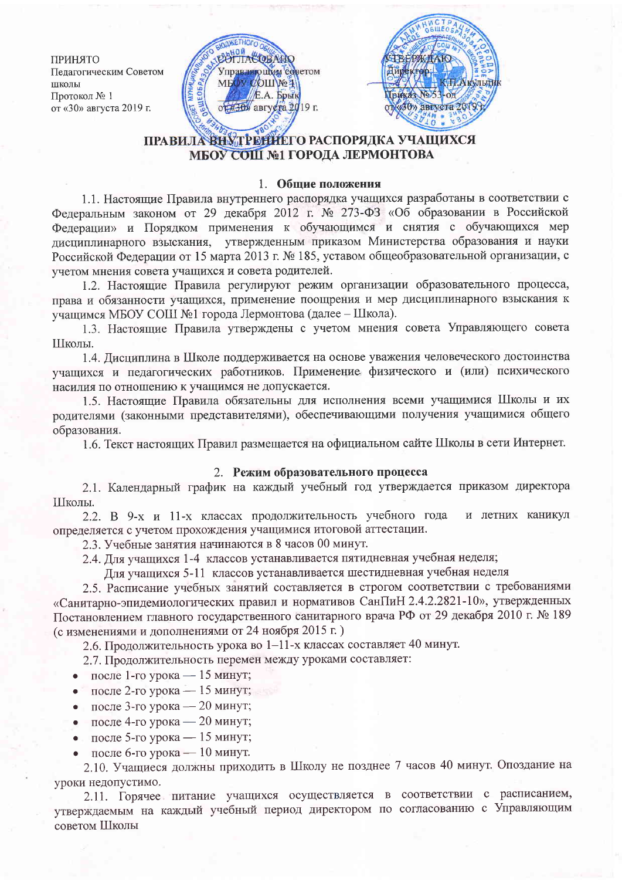ПРИНЯТО Педагогическим Советом ШКОЛЫ Протокол № 1 от «30» августа 2019 г.





# ПРАВИЛА ВНУТРЕНИЕГО РАСПОРЯДКА УЧАЩИХСЯ МБОУ СОШ №1 ГОРОДА ЛЕРМОНТОВА

### 1. Общие положения

1.1. Настоящие Правила внутреннего распорядка учащихся разработаны в соответствии с Федеральным законом от 29 декабря 2012 г. № 273-ФЗ «Об образовании в Российской Федерации» и Порядком применения к обучающимся и снятия с обучающихся мер дисциплинарного взыскания, утвержденным приказом Министерства образования и науки Российской Федерации от 15 марта 2013 г. № 185, уставом общеобразовательной организации, с учетом мнения совета учащихся и совета родителей.

1.2. Настоящие Правила регулируют режим организации образовательного процесса, права и обязанности учащихся, применение поощрения и мер дисциплинарного взыскания к учащимся МБОУ СОШ №1 города Лермонтова (далее - Школа).

1.3. Настоящие Правила утверждены с учетом мнения совета Управляющего совета Школы.

1.4. Дисциплина в Школе поддерживается на основе уважения человеческого достоинства учащихся и педагогических работников. Применение физического и (или) психического насилия по отношению к учащимся не допускается.

1.5. Настоящие Правила обязательны для исполнения всеми учащимися Школы и их родителями (законными представителями), обеспечивающими получения учащимися общего образования.

1.6. Текст настоящих Правил размещается на официальном сайте Школы в сети Интернет.

### 2. Режим образовательного процесса

2.1. Календарный график на каждый учебный год утверждается приказом директора Школы.

2.2. В 9-х и 11-х классах продолжительность учебного года и летних каникул определяется с учетом прохождения учащимися итоговой аттестации.

2.3. Учебные занятия начинаются в 8 часов 00 минут.

2.4. Для учащихся 1-4 классов устанавливается пятидневная учебная неделя;

Для учащихся 5-11 классов устанавливается шестидневная учебная неделя

2.5. Расписание учебных занятий составляется в строгом соответствии с требованиями «Санитарно-эпидемиологических правил и нормативов СанПиН 2.4.2.2821-10», утвержденных Постановлением главного государственного санитарного врача РФ от 29 декабря 2010 г. № 189 (с изменениями и дополнениями от 24 ноября 2015 г.)

2.6. Продолжительность урока во 1-11-х классах составляет 40 минут.

2.7. Продолжительность перемен между уроками составляет:

- после 1-го урока 15 минут;  $\bullet$
- после 2-го урока 15 минут;  $\bullet$
- после 3-го урока 20 минут;
- после 4-го урока 20 минут;  $\bullet$
- после 5-го урока 15 минут;
- после 6-го урока 10 минут.

2.10. Учащиеся должны приходить в Школу не позднее 7 часов 40 минут. Опоздание на уроки недопустимо.

2.11. Горячее питание учащихся осуществляется в соответствии с расписанием, утверждаемым на каждый учебный период директором по согласованию с Управляющим советом Школы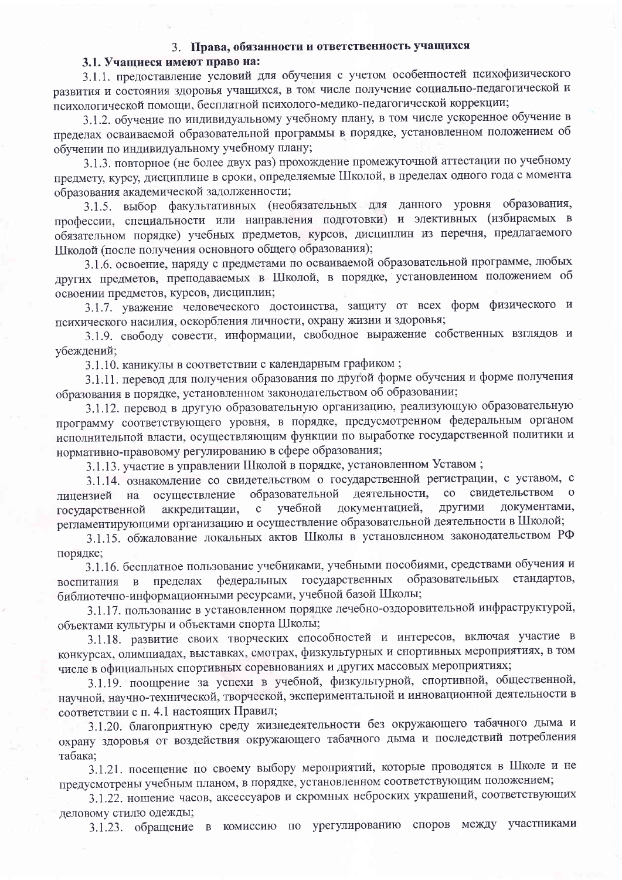## 3. Права, обязанности и ответственность учащихся

#### 3.1. Учашиеся имеют право на:

3.1.1. предоставление условий для обучения с учетом особенностей психофизического развития и состояния здоровья учащихся, в том числе получение социально-педагогической и психологической помощи, бесплатной психолого-медико-педагогической коррекции;

3.1.2. обучение по индивидуальному учебному плану, в том числе ускоренное обучение в пределах осваиваемой образовательной программы в порядке, установленном положением об обучении по индивидуальному учебному плану;

3.1.3. повторное (не более двух раз) прохождение промежуточной аттестации по учебному предмету, курсу, дисциплине в сроки, определяемые Школой, в пределах одного года с момента образования академической задолженности:

3.1.5. выбор факультативных (необязательных для данного уровня образования, профессии, специальности или направления подготовки) и элективных (избираемых в обязательном порядке) учебных предметов, курсов, дисциплин из перечня, предлагаемого Школой (после получения основного общего образования);

3.1.6. освоение, наряду с предметами по осваиваемой образовательной программе, любых других предметов, преподаваемых в Школой, в порядке, установленном положением об освоении предметов, курсов, дисциплин;

3.1.7. уважение человеческого достоинства, защиту от всех форм физического и психического насилия, оскорбления личности, охрану жизни и здоровья;

3.1.9. свободу совести, информации, свободное выражение собственных взглядов и убеждений;

3.1.10. каникулы в соответствии с календарным графиком;

3.1.11. перевод для получения образования по другой форме обучения и форме получения образования в порядке, установленном законодательством об образовании;

3.1.12. перевод в другую образовательную организацию, реализующую образовательную программу соответствующего уровня, в порядке, предусмотренном федеральным органом исполнительной власти, осуществляющим функции по выработке государственной политики и нормативно-правовому регулированию в сфере образования;

3.1.13. участие в управлении Школой в порядке, установленном Уставом;

3.1.14. ознакомление со свидетельством о государственной регистрации, с уставом, с свидетельством образовательной деятельности,  $\rm{co}$ осуществление лицензией на другими учебной документацией, документами, аккредитации,  $\mathbf{c}$ государственной регламентирующими организацию и осуществление образовательной деятельности в Школой;

3.1.15. обжалование локальных актов Школы в установленном законодательством РФ порядке;

3.1.16. бесплатное пользование учебниками, учебными пособиями, средствами обучения и федеральных государственных образовательных стандартов, воспитания в пределах библиотечно-информационными ресурсами, учебной базой Школы;

3.1.17. пользование в установленном порядке лечебно-оздоровительной инфраструктурой, объектами культуры и объектами спорта Школы;

3.1.18. развитие своих творческих способностей и интересов, включая участие в конкурсах, олимпиадах, выставках, смотрах, физкультурных и спортивных мероприятиях, в том числе в официальных спортивных соревнованиях и других массовых мероприятиях;

3.1.19. поощрение за успехи в учебной, физкультурной, спортивной, общественной, научной, научно-технической, творческой, экспериментальной и инновационной деятельности в соответствии с п. 4.1 настоящих Правил;

3.1.20. благоприятную среду жизнедеятельности без окружающего табачного дыма и охрану здоровья от воздействия окружающего табачного дыма и последствий потребления табака;

3.1.21. посещение по своему выбору мероприятий, которые проводятся в Школе и не предусмотрены учебным планом, в порядке, установленном соответствующим положением;

3.1.22. ношение часов, аксессуаров и скромных неброских украшений, соответствующих деловому стилю одежды;

3.1.23. обращение в комиссию по урегулированию споров между участниками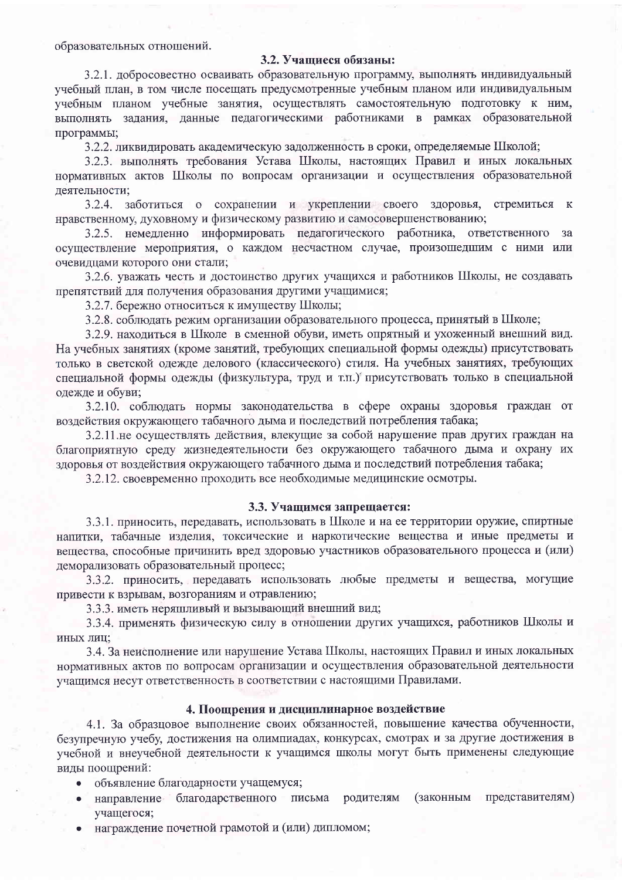образовательных отношений.

#### 3.2. Учашиеся обязаны:

3.2.1. добросовестно осваивать образовательную программу, выполнять индивидуальный учебный план, в том числе посещать предусмотренные учебным планом или индивидуальным учебным планом учебные занятия, осуществлять самостоятельную подготовку к ним, выполнять задания, данные педагогическими работниками в рамках образовательной программы;

3.2.2. ликвидировать академическую задолженность в сроки, определяемые Школой;

3.2.3. выполнять требования Устава Школы, настоящих Правил и иных локальных нормативных актов Школы по вопросам организации и осуществления образовательной деятельности;

3.2.4. заботиться о сохранении и укреплении своего здоровья, стремиться к нравственному, духовному и физическому развитию и самосовершенствованию;

3.2.5. немедленно информировать педагогического работника, ответственного за осуществление мероприятия, о каждом несчастном случае, произошедшим с ними или очевидцами которого они стали;

3.2.6. уважать честь и достоинство других учащихся и работников Школы, не создавать препятствий для получения образования другими учащимися;

3.2.7. бережно относиться к имуществу Школы;

3.2.8. соблюдать режим организации образовательного процесса, принятый в Школе;

3.2.9. находиться в Школе в сменной обуви, иметь опрятный и ухоженный внешний вид. На учебных занятиях (кроме занятий, требующих специальной формы одежды) присутствовать только в светской одежде делового (классического) стиля. На учебных занятиях, требующих специальной формы одежды (физкультура, труд и т.п.) присутствовать только в специальной одежде и обуви;

3.2.10. соблюдать нормы законодательства в сфере охраны здоровья граждан от воздействия окружающего табачного дыма и последствий потребления табака;

3.2.11 не осуществлять действия, влекущие за собой нарушение прав других граждан на благоприятную среду жизнедеятельности без окружающего табачного дыма и охрану их здоровья от воздействия окружающего табачного дыма и последствий потребления табака;

3.2.12. своевременно проходить все необходимые медицинские осмотры.

#### 3.3. Учащимся запрещается:

3.3.1. приносить, передавать, использовать в Школе и на ее территории оружие, спиртные напитки, табачные изделия, токсические и наркотические вещества и иные предметы и вещества, способные причинить вред здоровью участников образовательного процесса и (или) деморализовать образовательный процесс;

3.3.2. приносить, передавать использовать любые предметы и вещества, могущие привести к взрывам, возгораниям и отравлению;

3.3.3. иметь неряшливый и вызывающий внешний вид;

3.3.4. применять физическую силу в отношении других учащихся, работников Школы и иных лиц;

3.4. За неисполнение или нарушение Устава Школы, настоящих Правил и иных локальных нормативных актов по вопросам организации и осуществления образовательной деятельности учащимся несут ответственность в соответствии с настоящими Правилами.

#### 4. Поощрения и дисциплинарное воздействие

4.1. За образцовое выполнение своих обязанностей, повышение качества обученности, безупречную учебу, достижения на олимпиадах, конкурсах, смотрах и за другие достижения в учебной и внеучебной деятельности к учащимся школы могут быть применены следующие виды поощрений:

- объявление благодарности учащемуся;
- (законным представителям) • направление благодарственного письма родителям учащегося;
- награждение почетной грамотой и (или) дипломом;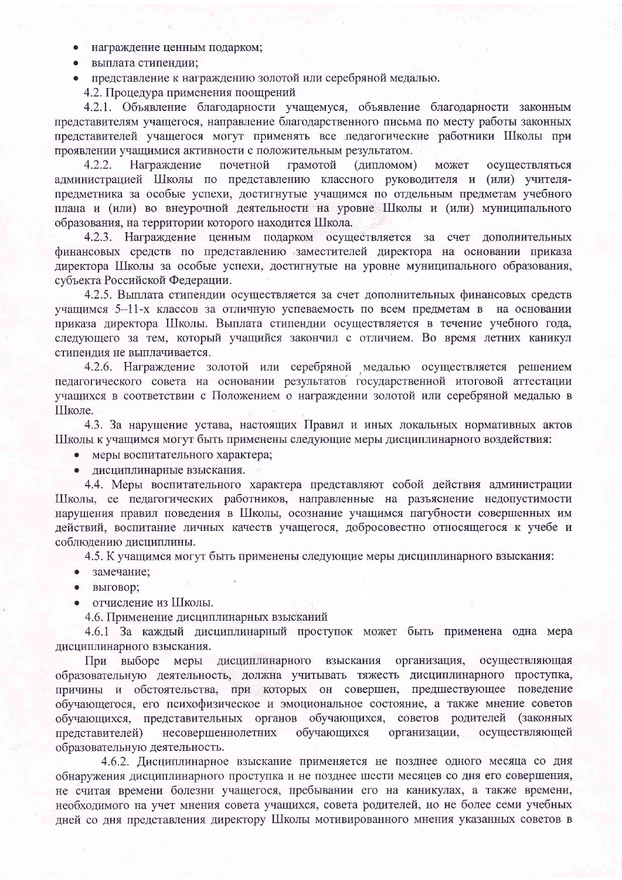- награждение ценным подарком;  $\bullet$
- выплата стипендии;
- представление к награждению золотой или серебряной медалью.

4.2. Процедура применения поощрений

4.2.1. Объявление благодарности учащемуся, объявление благодарности законным представителям учащегося, направление благодарственного письма по месту работы законных представителей учащегося могут применять все педагогические работники Школы при проявлении учащимися активности с положительным результатом.

 $4.2.2.$ Награждение почетной грамотой (дипломом) может осуществляться администрацией Школы по представлению классного руководителя и (или) учителяпредметника за особые успехи, достигнутые учащимся по отдельным предметам учебного плана и (или) во внеурочной деятельности на уровне Школы и (или) муниципального образования, на территории которого находится Школа.

4.2.3. Награждение ценным подарком осуществляется за счет дополнительных финансовых средств по представлению заместителей директора на основании приказа директора Школы за особые успехи, достигнутые на уровне муниципального образования, субъекта Российской Федерации.

4.2.5. Выплата стипендии осуществляется за счет дополнительных финансовых средств учащимся 5-11-х классов за отличную успеваемость по всем предметам в на основании приказа директора Школы. Выплата стипендии осуществляется в течение учебного года, следующего за тем, который учащийся закончил с отличием. Во время летних каникул стипендия не выплачивается.

4.2.6. Награждение золотой или серебряной медалью осуществляется решением педагогического совета на основании результатов государственной итоговой аттестации учащихся в соответствии с Положением о награждении золотой или серебряной медалью в Школе.

4.3. За нарушение устава, настоящих Правил и иных локальных нормативных актов Школы к учащимся могут быть применены следующие меры дисциплинарного воздействия:

• меры воспитательного характера;

дисциплинарные взыскания.

4.4. Меры воспитательного характера представляют собой действия администрации Школы, ее педагогических работников, направленные на разъяснение недопустимости нарушения правил поведения в Школы, осознание учащимся пагубности совершенных им действий, воспитание личных качеств учащегося, добросовестно относящегося к учебе и соблюдению дисциплины.

4.5. К учащимся могут быть применены следующие меры дисциплинарного взыскания:

- замечание:
- выговор;
- отчисление из Школы.  $\bullet$

4.6. Применение дисциплинарных взысканий

4.6.1 За каждый дисциплинарный проступок может быть применена одна мера дисциплинарного взыскания.

меры дисциплинарного взыскания организация, осуществляющая При выборе образовательную деятельность, должна учитывать тяжесть дисциплинарного проступка, причины и обстоятельства, при которых он совершен, предшествующее поведение обучающегося, его психофизическое и эмоциональное состояние, а также мнение советов обучающихся, представительных органов обучающихся, советов родителей (законных представителей) несовершеннолетних обучающихся организации, осуществляющей образовательную деятельность.

4.6.2. Дисциплинарное взыскание применяется не позднее одного месяца со дня обнаружения дисциплинарного проступка и не позднее шести месяцев со дня его совершения, не считая времени болезни учащегося, пребывании его на каникулах, а также времени, необходимого на учет мнения совета учащихся, совета родителей, но не более семи учебных дней со дня представления директору Школы мотивированного мнения указанных советов в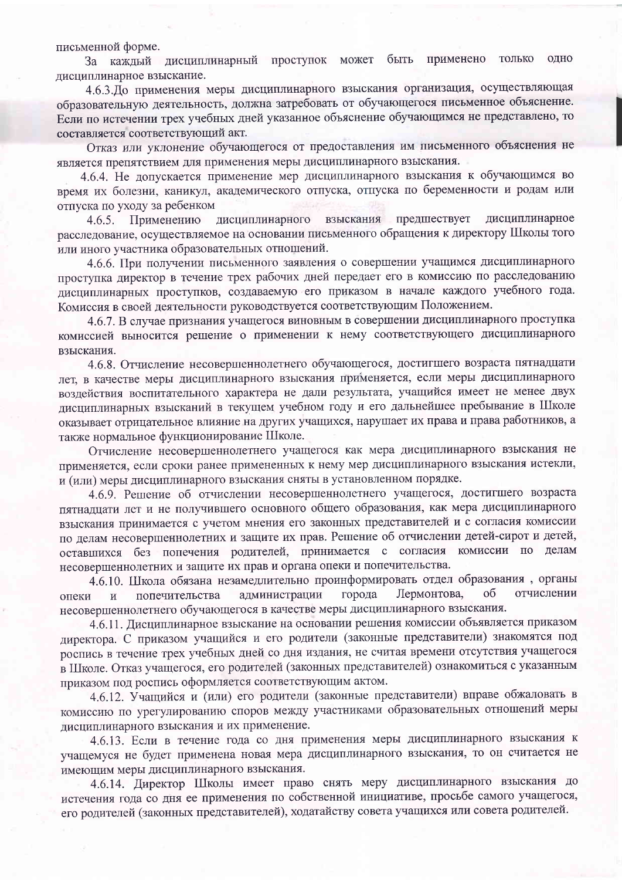письменной форме.

За каждый дисциплинарный проступок может быть применено только ОДНО дисциплинарное взыскание.

4.6.3. До применения меры дисциплинарного взыскания организация, осуществляющая образовательную деятельность, должна затребовать от обучающегося письменное объяснение. Если по истечении трех учебных дней указанное объяснение обучающимся не представлено, то составляется соответствующий акт.

Отказ или уклонение обучающегося от предоставления им письменного объяснения не является препятствием для применения меры дисциплинарного взыскания.

4.6.4. Не допускается применение мер дисциплинарного взыскания к обучающимся во время их болезни, каникул, академического отпуска, отпуска по беременности и родам или отпуска по уходу за ребенком

взыскания предшествует дисциплинарное Применению дисциплинарного  $4.6.5.$ расследование, осуществляемое на основании письменного обращения к директору Школы того или иного участника образовательных отношений.

4.6.6. При получении письменного заявления о совершении учащимся дисциплинарного проступка директор в течение трех рабочих дней передает его в комиссию по расследованию дисциплинарных проступков, создаваемую его приказом в начале каждого учебного года. Комиссия в своей деятельности руководствуется соответствующим Положением.

4.6.7. В случае признания учащегося виновным в совершении дисциплинарного проступка комиссией выносится решение о применении к нему соответствующего дисциплинарного взыскания.

4.6.8. Отчисление несовершеннолетнего обучающегося, достигшего возраста пятнадцати лет, в качестве меры дисциплинарного взыскания применяется, если меры дисциплинарного воздействия воспитательного характера не дали результата, учащийся имеет не менее двух дисциплинарных взысканий в текущем учебном году и его дальнейшее пребывание в Школе оказывает отрицательное влияние на других учащихся, нарушает их права и права работников, а также нормальное функционирование Школе.

Отчисление несовершеннолетнего учащегося как мера дисциплинарного взыскания не применяется, если сроки ранее примененных к нему мер дисциплинарного взыскания истекли, и (или) меры дисциплинарного взыскания сняты в установленном порядке.

4.6.9. Решение об отчислении несовершеннолетнего учащегося, достигшего возраста пятнадцати лет и не получившего основного общего образования, как мера дисциплинарного взыскания принимается с учетом мнения его законных представителей и с согласия комиссии по делам несовершеннолетних и защите их прав. Решение об отчислении детей-сирот и детей, оставшихся без попечения родителей, принимается с согласия комиссии по делам несовершеннолетних и защите их прав и органа опеки и попечительства.

4.6.10. Школа обязана незамедлительно проинформировать отдел образования, органы отчислении Лермонтова, об администрации города опеки попечительства  $\overline{M}$ несовершеннолетнего обучающегося в качестве меры дисциплинарного взыскания.

4.6.11. Дисциплинарное взыскание на основании решения комиссии объявляется приказом директора. С приказом учащийся и его родители (законные представители) знакомятся под роспись в течение трех учебных дней со дня издания, не считая времени отсутствия учащегося в Школе. Отказ учащегося, его родителей (законных представителей) ознакомиться с указанным приказом под роспись оформляется соответствующим актом.

4.6.12. Учащийся и (или) его родители (законные представители) вправе обжаловать в комиссию по урегулированию споров между участниками образовательных отношений меры дисциплинарного взыскания и их применение.

4.6.13. Если в течение года со дня применения меры дисциплинарного взыскания к учащемуся не будет применена новая мера дисциплинарного взыскания, то он считается не имеющим меры дисциплинарного взыскания.

4.6.14. Директор Школы имеет право снять меру дисциплинарного взыскания до истечения года со дня ее применения по собственной инициативе, просьбе самого учащегося, его родителей (законных представителей), ходатайству совета учащихся или совета родителей.